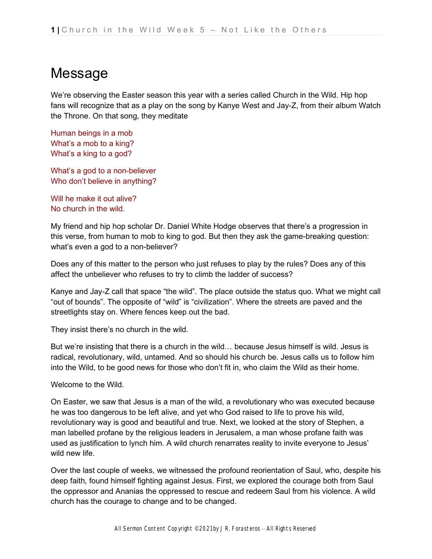# Message

We're observing the Easter season this year with a series called Church in the Wild. Hip hop fans will recognize that as a play on the song by Kanye West and Jay-Z, from their album Watch the Throne. On that song, they meditate

Human beings in a mob What's a mob to a king? What's a king to a god?

What's a god to a non-believer Who don't believe in anything?

Will he make it out alive? No church in the wild.

My friend and hip hop scholar Dr. Daniel White Hodge observes that there's a progression in this verse, from human to mob to king to god. But then they ask the game-breaking question: what's even a god to a non-believer?

Does any of this matter to the person who just refuses to play by the rules? Does any of this affect the unbeliever who refuses to try to climb the ladder of success?

Kanye and Jay-Z call that space "the wild". The place outside the status quo. What we might call "out of bounds". The opposite of "wild" is "civilization". Where the streets are paved and the streetlights stay on. Where fences keep out the bad.

They insist there's no church in the wild.

But we're insisting that there is a church in the wild… because Jesus himself is wild. Jesus is radical, revolutionary, wild, untamed. And so should his church be. Jesus calls us to follow him into the Wild, to be good news for those who don't fit in, who claim the Wild as their home.

Welcome to the Wild.

On Easter, we saw that Jesus is a man of the wild, a revolutionary who was executed because he was too dangerous to be left alive, and yet who God raised to life to prove his wild, revolutionary way is good and beautiful and true. Next, we looked at the story of Stephen, a man labelled profane by the religious leaders in Jerusalem, a man whose profane faith was used as justification to lynch him. A wild church renarrates reality to invite everyone to Jesus' wild new life.

Over the last couple of weeks, we witnessed the profound reorientation of Saul, who, despite his deep faith, found himself fighting against Jesus. First, we explored the courage both from Saul the oppressor and Ananias the oppressed to rescue and redeem Saul from his violence. A wild church has the courage to change and to be changed.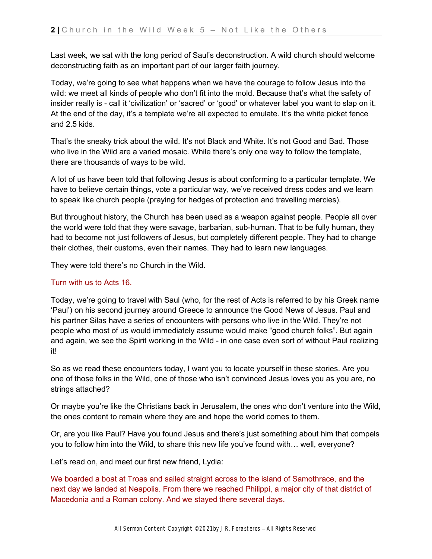Last week, we sat with the long period of Saul's deconstruction. A wild church should welcome deconstructing faith as an important part of our larger faith journey.

Today, we're going to see what happens when we have the courage to follow Jesus into the wild: we meet all kinds of people who don't fit into the mold. Because that's what the safety of insider really is - call it 'civilization' or 'sacred' or 'good' or whatever label you want to slap on it. At the end of the day, it's a template we're all expected to emulate. It's the white picket fence and 2.5 kids.

That's the sneaky trick about the wild. It's not Black and White. It's not Good and Bad. Those who live in the Wild are a varied mosaic. While there's only one way to follow the template, there are thousands of ways to be wild.

A lot of us have been told that following Jesus is about conforming to a particular template. We have to believe certain things, vote a particular way, we've received dress codes and we learn to speak like church people (praying for hedges of protection and travelling mercies).

But throughout history, the Church has been used as a weapon against people. People all over the world were told that they were savage, barbarian, sub-human. That to be fully human, they had to become not just followers of Jesus, but completely different people. They had to change their clothes, their customs, even their names. They had to learn new languages.

They were told there's no Church in the Wild.

### Turn with us to Acts 16.

Today, we're going to travel with Saul (who, for the rest of Acts is referred to by his Greek name 'Paul') on his second journey around Greece to announce the Good News of Jesus. Paul and his partner Silas have a series of encounters with persons who live in the Wild. They're not people who most of us would immediately assume would make "good church folks". But again and again, we see the Spirit working in the Wild - in one case even sort of without Paul realizing it!

So as we read these encounters today, I want you to locate yourself in these stories. Are you one of those folks in the Wild, one of those who isn't convinced Jesus loves you as you are, no strings attached?

Or maybe you're like the Christians back in Jerusalem, the ones who don't venture into the Wild, the ones content to remain where they are and hope the world comes to them.

Or, are you like Paul? Have you found Jesus and there's just something about him that compels you to follow him into the Wild, to share this new life you've found with… well, everyone?

Let's read on, and meet our first new friend, Lydia:

We boarded a boat at Troas and sailed straight across to the island of Samothrace, and the next day we landed at Neapolis. From there we reached Philippi, a major city of that district of Macedonia and a Roman colony. And we stayed there several days.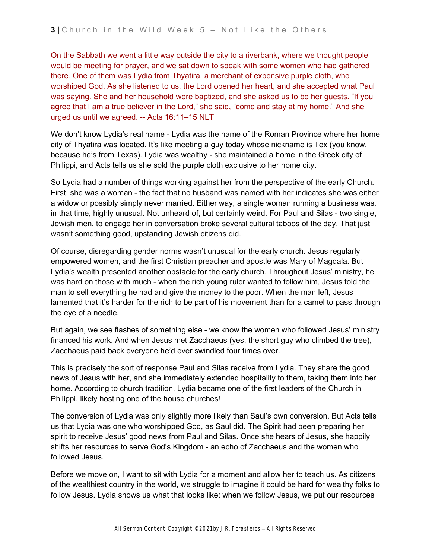On the Sabbath we went a little way outside the city to a riverbank, where we thought people would be meeting for prayer, and we sat down to speak with some women who had gathered there. One of them was Lydia from Thyatira, a merchant of expensive purple cloth, who worshiped God. As she listened to us, the Lord opened her heart, and she accepted what Paul was saying. She and her household were baptized, and she asked us to be her guests. "If you agree that I am a true believer in the Lord," she said, "come and stay at my home." And she urged us until we agreed. -- Acts 16:11–15 NLT

We don't know Lydia's real name - Lydia was the name of the Roman Province where her home city of Thyatira was located. It's like meeting a guy today whose nickname is Tex (you know, because he's from Texas). Lydia was wealthy - she maintained a home in the Greek city of Philippi, and Acts tells us she sold the purple cloth exclusive to her home city.

So Lydia had a number of things working against her from the perspective of the early Church. First, she was a woman - the fact that no husband was named with her indicates she was either a widow or possibly simply never married. Either way, a single woman running a business was, in that time, highly unusual. Not unheard of, but certainly weird. For Paul and Silas - two single, Jewish men, to engage her in conversation broke several cultural taboos of the day. That just wasn't something good, upstanding Jewish citizens did.

Of course, disregarding gender norms wasn't unusual for the early church. Jesus regularly empowered women, and the first Christian preacher and apostle was Mary of Magdala. But Lydia's wealth presented another obstacle for the early church. Throughout Jesus' ministry, he was hard on those with much - when the rich young ruler wanted to follow him, Jesus told the man to sell everything he had and give the money to the poor. When the man left, Jesus lamented that it's harder for the rich to be part of his movement than for a camel to pass through the eye of a needle.

But again, we see flashes of something else - we know the women who followed Jesus' ministry financed his work. And when Jesus met Zacchaeus (yes, the short guy who climbed the tree), Zacchaeus paid back everyone he'd ever swindled four times over.

This is precisely the sort of response Paul and Silas receive from Lydia. They share the good news of Jesus with her, and she immediately extended hospitality to them, taking them into her home. According to church tradition, Lydia became one of the first leaders of the Church in Philippi, likely hosting one of the house churches!

The conversion of Lydia was only slightly more likely than Saul's own conversion. But Acts tells us that Lydia was one who worshipped God, as Saul did. The Spirit had been preparing her spirit to receive Jesus' good news from Paul and Silas. Once she hears of Jesus, she happily shifts her resources to serve God's Kingdom - an echo of Zacchaeus and the women who followed Jesus.

Before we move on, I want to sit with Lydia for a moment and allow her to teach us. As citizens of the wealthiest country in the world, we struggle to imagine it could be hard for wealthy folks to follow Jesus. Lydia shows us what that looks like: when we follow Jesus, we put our resources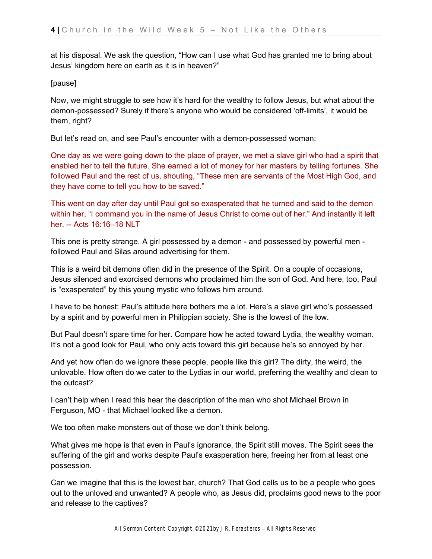at his disposal. We ask the question, "How can I use what God has granted me to bring about Jesus' kingdom here on earth as it is in heaven?"

#### [pause]

Now, we might struggle to see how it's hard for the wealthy to follow Jesus, but what about the demon-possessed? Surely if there's anyone who would be considered 'off-limits', it would be them, right?

But let's read on, and see Paul's encounter with a demon-possessed woman:

One day as we were going down to the place of prayer, we met a slave girl who had a spirit that enabled her to tell the future. She earned a lot of money for her masters by telling fortunes. She followed Paul and the rest of us, shouting, "These men are servants of the Most High God, and they have come to tell you how to be saved."

This went on day after day until Paul got so exasperated that he turned and said to the demon within her, "I command you in the name of Jesus Christ to come out of her." And instantly it left her. -- Acts 16:16–18 NLT

This one is pretty strange. A girl possessed by a demon - and possessed by powerful men followed Paul and Silas around advertising for them.

This is a weird bit demons often did in the presence of the Spirit. On a couple of occasions, Jesus silenced and exorcised demons who proclaimed him the son of God. And here, too, Paul is "exasperated" by this young mystic who follows him around.

I have to be honest: Paul's attitude here bothers me a lot. Here's a slave girl who's possessed by a spirit and by powerful men in Philippian society. She is the lowest of the low.

But Paul doesn't spare time for her. Compare how he acted toward Lydia, the wealthy woman. It's not a good look for Paul, who only acts toward this girl because he's so annoyed by her.

And yet how often do we ignore these people, people like this girl? The dirty, the weird, the unlovable. How often do we cater to the Lydias in our world, preferring the wealthy and clean to the outcast?

I can't help when I read this hear the description of the man who shot Michael Brown in Ferguson, MO - that Michael looked like a demon.

We too often make monsters out of those we don't think belong.

What gives me hope is that even in Paul's ignorance, the Spirit still moves. The Spirit sees the suffering of the girl and works despite Paul's exasperation here, freeing her from at least one possession.

Can we imagine that this is the lowest bar, church? That God calls us to be a people who goes out to the unloved and unwanted? A people who, as Jesus did, proclaims good news to the poor and release to the captives?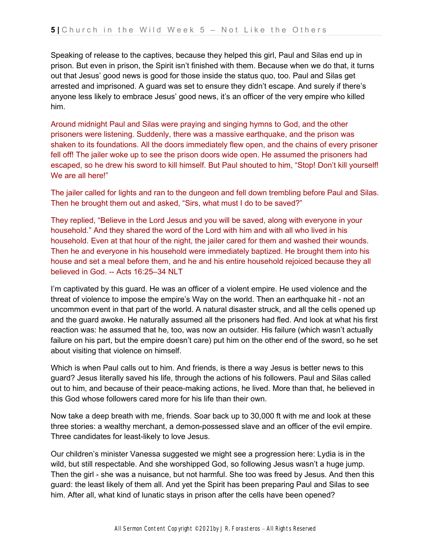Speaking of release to the captives, because they helped this girl, Paul and Silas end up in prison. But even in prison, the Spirit isn't finished with them. Because when we do that, it turns out that Jesus' good news is good for those inside the status quo, too. Paul and Silas get arrested and imprisoned. A guard was set to ensure they didn't escape. And surely if there's anyone less likely to embrace Jesus' good news, it's an officer of the very empire who killed him.

Around midnight Paul and Silas were praying and singing hymns to God, and the other prisoners were listening. Suddenly, there was a massive earthquake, and the prison was shaken to its foundations. All the doors immediately flew open, and the chains of every prisoner fell off! The jailer woke up to see the prison doors wide open. He assumed the prisoners had escaped, so he drew his sword to kill himself. But Paul shouted to him, "Stop! Don't kill yourself! We are all here!"

The jailer called for lights and ran to the dungeon and fell down trembling before Paul and Silas. Then he brought them out and asked, "Sirs, what must I do to be saved?"

They replied, "Believe in the Lord Jesus and you will be saved, along with everyone in your household." And they shared the word of the Lord with him and with all who lived in his household. Even at that hour of the night, the jailer cared for them and washed their wounds. Then he and everyone in his household were immediately baptized. He brought them into his house and set a meal before them, and he and his entire household rejoiced because they all believed in God. -- Acts 16:25–34 NLT

I'm captivated by this guard. He was an officer of a violent empire. He used violence and the threat of violence to impose the empire's Way on the world. Then an earthquake hit - not an uncommon event in that part of the world. A natural disaster struck, and all the cells opened up and the guard awoke. He naturally assumed all the prisoners had fled. And look at what his first reaction was: he assumed that he, too, was now an outsider. His failure (which wasn't actually failure on his part, but the empire doesn't care) put him on the other end of the sword, so he set about visiting that violence on himself.

Which is when Paul calls out to him. And friends, is there a way Jesus is better news to this guard? Jesus literally saved his life, through the actions of his followers. Paul and Silas called out to him, and because of their peace-making actions, he lived. More than that, he believed in this God whose followers cared more for his life than their own.

Now take a deep breath with me, friends. Soar back up to 30,000 ft with me and look at these three stories: a wealthy merchant, a demon-possessed slave and an officer of the evil empire. Three candidates for least-likely to love Jesus.

Our children's minister Vanessa suggested we might see a progression here: Lydia is in the wild, but still respectable. And she worshipped God, so following Jesus wasn't a huge jump. Then the girl - she was a nuisance, but not harmful. She too was freed by Jesus. And then this guard: the least likely of them all. And yet the Spirit has been preparing Paul and Silas to see him. After all, what kind of lunatic stays in prison after the cells have been opened?